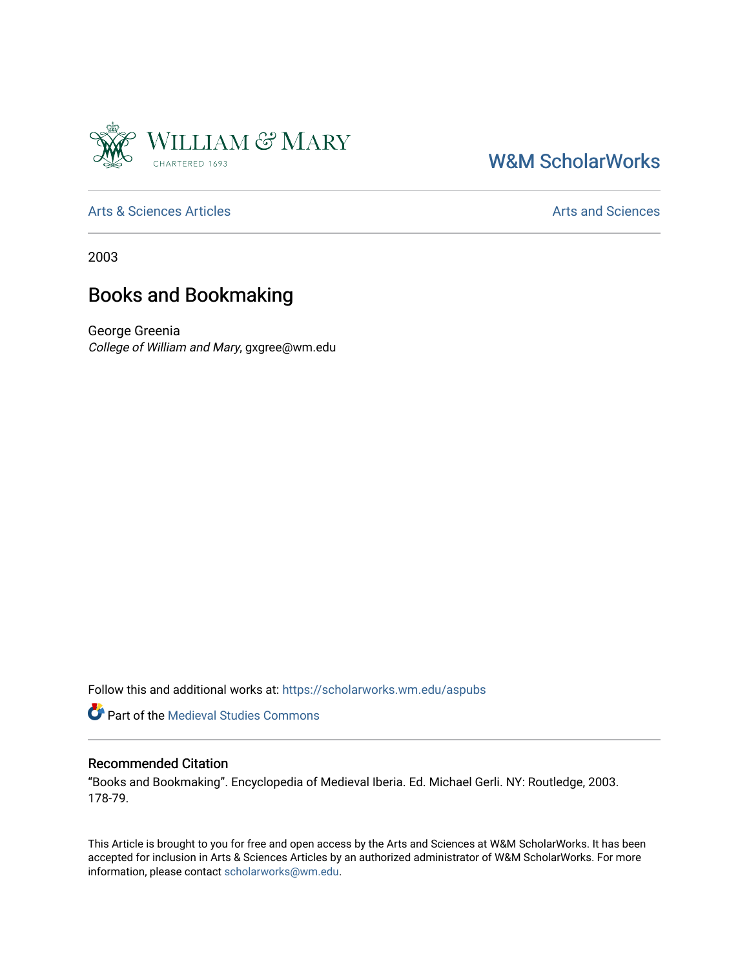

# W&M ScholarWorks

## [Arts & Sciences Articles](https://scholarworks.wm.edu/aspubs) **Articles** [Arts and Sciences](https://scholarworks.wm.edu/as) Articles Arts and Sciences Arts and Sciences

2003

# Books and Bookmaking

George Greenia College of William and Mary, gxgree@wm.edu

Follow this and additional works at: [https://scholarworks.wm.edu/aspubs](https://scholarworks.wm.edu/aspubs?utm_source=scholarworks.wm.edu%2Faspubs%2F594&utm_medium=PDF&utm_campaign=PDFCoverPages) 

Part of the [Medieval Studies Commons](http://network.bepress.com/hgg/discipline/480?utm_source=scholarworks.wm.edu%2Faspubs%2F594&utm_medium=PDF&utm_campaign=PDFCoverPages) 

## Recommended Citation

"Books and Bookmaking". Encyclopedia of Medieval Iberia. Ed. Michael Gerli. NY: Routledge, 2003. 178-79.

This Article is brought to you for free and open access by the Arts and Sciences at W&M ScholarWorks. It has been accepted for inclusion in Arts & Sciences Articles by an authorized administrator of W&M ScholarWorks. For more information, please contact [scholarworks@wm.edu](mailto:scholarworks@wm.edu).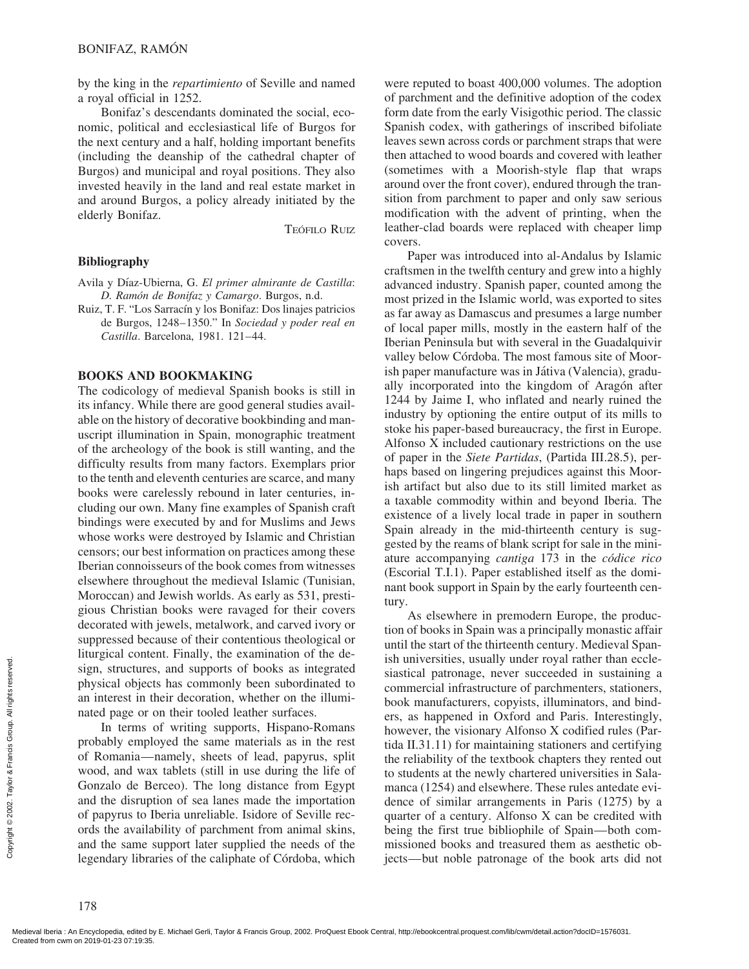by the king in the *repartimiento* of Seville and named a royal official in 1252.

Bonifaz's descendants dominated the social, economic, political and ecclesiastical life of Burgos for the next century and a half, holding important benefits (including the deanship of the cathedral chapter of Burgos) and municipal and royal positions. They also invested heavily in the land and real estate market in and around Burgos, a policy already initiated by the elderly Bonifaz.

TEÓFILO RUIZ

#### **Bibliography**

- Avila y Díaz-Ubierna, G. El primer almirante de Castilla: *D. Ramo´n de Bonifaz y Camargo*. Burgos, n.d.
- Ruiz, T. F. "Los Sarracín y los Bonifaz: Dos linajes patricios de Burgos, 1248–1350." In *Sociedad y poder real en Castilla*. Barcelona, 1981. 121–44.

#### **BOOKS AND BOOKMAKING**

The codicology of medieval Spanish books is still in its infancy. While there are good general studies available on the history of decorative bookbinding and manuscript illumination in Spain, monographic treatment of the archeology of the book is still wanting, and the difficulty results from many factors. Exemplars prior to the tenth and eleventh centuries are scarce, and many books were carelessly rebound in later centuries, including our own. Many fine examples of Spanish craft bindings were executed by and for Muslims and Jews whose works were destroyed by Islamic and Christian censors; our best information on practices among these Iberian connoisseurs of the book comes from witnesses elsewhere throughout the medieval Islamic (Tunisian, Moroccan) and Jewish worlds. As early as 531, prestigious Christian books were ravaged for their covers decorated with jewels, metalwork, and carved ivory or suppressed because of their contentious theological or liturgical content. Finally, the examination of the design, structures, and supports of books as integrated physical objects has commonly been subordinated to an interest in their decoration, whether on the illuminated page or on their tooled leather surfaces.

In terms of writing supports, Hispano-Romans probably employed the same materials as in the rest of Romania—namely, sheets of lead, papyrus, split wood, and wax tablets (still in use during the life of Gonzalo de Berceo). The long distance from Egypt and the disruption of sea lanes made the importation of papyrus to Iberia unreliable. Isidore of Seville records the availability of parchment from animal skins, and the same support later supplied the needs of the legendary libraries of the caliphate of Córdoba, which Exercise the sign, structures<br>
Sign, structures<br>
physical object<br>
an interest in tl<br>
mated page or (In terms of<br>
probably emplof<br>
of Romania—<br>
wood, and way<br>
Gonzalo de Be<br>
and the disrupt<br>
of papyrus to I<br>
ords the availa

were reputed to boast 400,000 volumes. The adoption of parchment and the definitive adoption of the codex form date from the early Visigothic period. The classic Spanish codex, with gatherings of inscribed bifoliate leaves sewn across cords or parchment straps that were then attached to wood boards and covered with leather (sometimes with a Moorish-style flap that wraps around over the front cover), endured through the transition from parchment to paper and only saw serious modification with the advent of printing, when the leather-clad boards were replaced with cheaper limp covers.

Paper was introduced into al-Andalus by Islamic craftsmen in the twelfth century and grew into a highly advanced industry. Spanish paper, counted among the most prized in the Islamic world, was exported to sites as far away as Damascus and presumes a large number of local paper mills, mostly in the eastern half of the Iberian Peninsula but with several in the Guadalquivir valley below Córdoba. The most famous site of Moorish paper manufacture was in Játiva (Valencia), gradually incorporated into the kingdom of Aragón after 1244 by Jaime I, who inflated and nearly ruined the industry by optioning the entire output of its mills to stoke his paper-based bureaucracy, the first in Europe. Alfonso X included cautionary restrictions on the use of paper in the *Siete Partidas*, (Partida III.28.5), perhaps based on lingering prejudices against this Moorish artifact but also due to its still limited market as a taxable commodity within and beyond Iberia. The existence of a lively local trade in paper in southern Spain already in the mid-thirteenth century is suggested by the reams of blank script for sale in the miniature accompanying *cantiga* 173 in the *códice rico* (Escorial T.I.1). Paper established itself as the dominant book support in Spain by the early fourteenth century.

As elsewhere in premodern Europe, the production of books in Spain was a principally monastic affair until the start of the thirteenth century. Medieval Spanish universities, usually under royal rather than ecclesiastical patronage, never succeeded in sustaining a commercial infrastructure of parchmenters, stationers, book manufacturers, copyists, illuminators, and binders, as happened in Oxford and Paris. Interestingly, however, the visionary Alfonso X codified rules (Partida  $II.31.11$ ) for maintaining stationers and certifying the reliability of the textbook chapters they rented out to students at the newly chartered universities in Salamanca (1254) and elsewhere. These rules antedate evidence of similar arrangements in Paris (1275) by a quarter of a century. Alfonso X can be credited with being the first true bibliophile of Spain—both commissioned books and treasured them as aesthetic objects—but noble patronage of the book arts did not